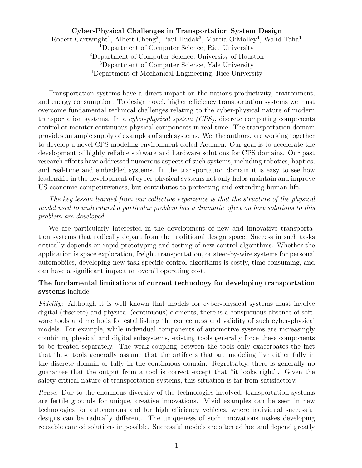## Cyber-Physical Challenges in Transportation System Design Robert Cartwright<sup>1</sup>, Albert Cheng<sup>2</sup>, Paul Hudak<sup>3</sup>, Marcia O'Malley<sup>4</sup>, Walid Taha<sup>1</sup> <sup>1</sup>Department of Computer Science, Rice University <sup>2</sup>Department of Computer Science, University of Houston <sup>3</sup>Department of Computer Science, Yale University <sup>4</sup>Department of Mechanical Engineering, Rice University

Transportation systems have a direct impact on the nations productivity, environment, and energy consumption. To design novel, higher efficiency transportation systems we must overcome fundamental technical challenges relating to the cyber-physical nature of modern transportation systems. In a *cyber-physical system (CPS)*, discrete computing components control or monitor continuous physical components in real-time. The transportation domain provides an ample supply of examples of such systems. We, the authors, are working together to develop a novel CPS modeling environment called Acumen. Our goal is to accelerate the development of highly reliable software and hardware solutions for CPS domains. Our past research efforts have addressed numerous aspects of such systems, including robotics, haptics, and real-time and embedded systems. In the transportation domain it is easy to see how leadership in the development of cyber-physical systems not only helps maintain and improve US economic competitiveness, but contributes to protecting and extending human life.

The key lesson learned from our collective experience is that the structure of the physical model used to understand a particular problem has a dramatic effect on how solutions to this problem are developed.

We are particularly interested in the development of new and innovative transportation systems that radically depart from the traditional design space. Success in such tasks critically depends on rapid prototyping and testing of new control algorithms. Whether the application is space exploration, freight transportation, or steer-by-wire systems for personal automobiles, developing new task-specific control algorithms is costly, time-consuming, and can have a significant impact on overall operating cost.

#### The fundamental limitations of current technology for developing transportation systems include:

Fidelity: Although it is well known that models for cyber-physical systems must involve digital (discrete) and physical (continuous) elements, there is a conspicuous absence of software tools and methods for establishing the correctness and validity of such cyber-physical models. For example, while individual components of automotive systems are increasingly combining physical and digital subsystems, existing tools generally force these components to be treated separately. The weak coupling between the tools only exacerbates the fact that these tools generally assume that the artifacts that are modeling live either fully in the discrete domain or fully in the continuous domain. Regrettably, there is generally no guarantee that the output from a tool is correct except that "it looks right". Given the safety-critical nature of transportation systems, this situation is far from satisfactory.

Reuse: Due to the enormous diversity of the technologies involved, transportation systems are fertile grounds for unique, creative innovations. Vivid examples can be seen in new technologies for autonomous and for high efficiency vehicles, where individual successful designs can be radically different. The uniqueness of such innovations makes developing reusable canned solutions impossible. Successful models are often ad hoc and depend greatly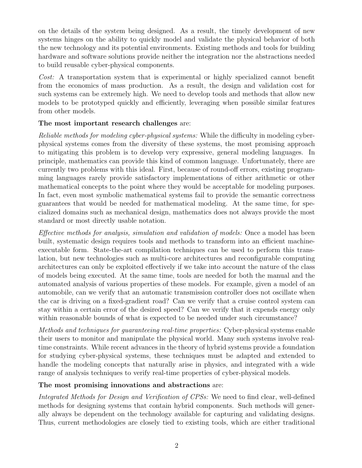on the details of the system being designed. As a result, the timely development of new systems hinges on the ability to quickly model and validate the physical behavior of both the new technology and its potential environments. Existing methods and tools for building hardware and software solutions provide neither the integration nor the abstractions needed to build reusable cyber-physical components.

Cost: A transportation system that is experimental or highly specialized cannot benefit from the economics of mass production. As a result, the design and validation cost for such systems can be extremely high. We need to develop tools and methods that allow new models to be prototyped quickly and efficiently, leveraging when possible similar features from other models.

# The most important research challenges are:

Reliable methods for modeling cyber-physical systems: While the difficulty in modeling cyberphysical systems comes from the diversity of these systems, the most promising approach to mitigating this problem is to develop very expressive, general modeling languages. In principle, mathematics can provide this kind of common language. Unfortunately, there are currently two problems with this ideal. First, because of round-off errors, existing programming languages rarely provide satisfactory implementations of either arithmetic or other mathematical concepts to the point where they would be acceptable for modeling purposes. In fact, even most symbolic mathematical systems fail to provide the semantic correctness guarantees that would be needed for mathematical modeling. At the same time, for specialized domains such as mechanical design, mathematics does not always provide the most standard or most directly usable notation.

Effective methods for analysis, simulation and validation of models: Once a model has been built, systematic design requires tools and methods to transform into an efficient machineexecutable form. State-the-art compilation techniques can be used to perform this translation, but new technologies such as multi-core architectures and reconfigurable computing architectures can only be exploited effectively if we take into account the nature of the class of models being executed. At the same time, tools are needed for both the manual and the automated analysis of various properties of these models. For example, given a model of an automobile, can we verify that an automatic transmission controller does not oscillate when the car is driving on a fixed-gradient road? Can we verify that a cruise control system can stay within a certain error of the desired speed? Can we verify that it expends energy only within reasonable bounds of what is expected to be needed under such circumstance?

Methods and techniques for guaranteeing real-time properties: Cyber-physical systems enable their users to monitor and manipulate the physical world. Many such systems involve realtime constraints. While recent advances in the theory of hybrid systems provide a foundation for studying cyber-physical systems, these techniques must be adapted and extended to handle the modeling concepts that naturally arise in physics, and integrated with a wide range of analysis techniques to verify real-time properties of cyber-physical models.

## The most promising innovations and abstractions are:

Integrated Methods for Design and Verification of CPSs: We need to find clear, well-defined methods for designing systems that contain hybrid components. Such methods will generally always be dependent on the technology available for capturing and validating designs. Thus, current methodologies are closely tied to existing tools, which are either traditional